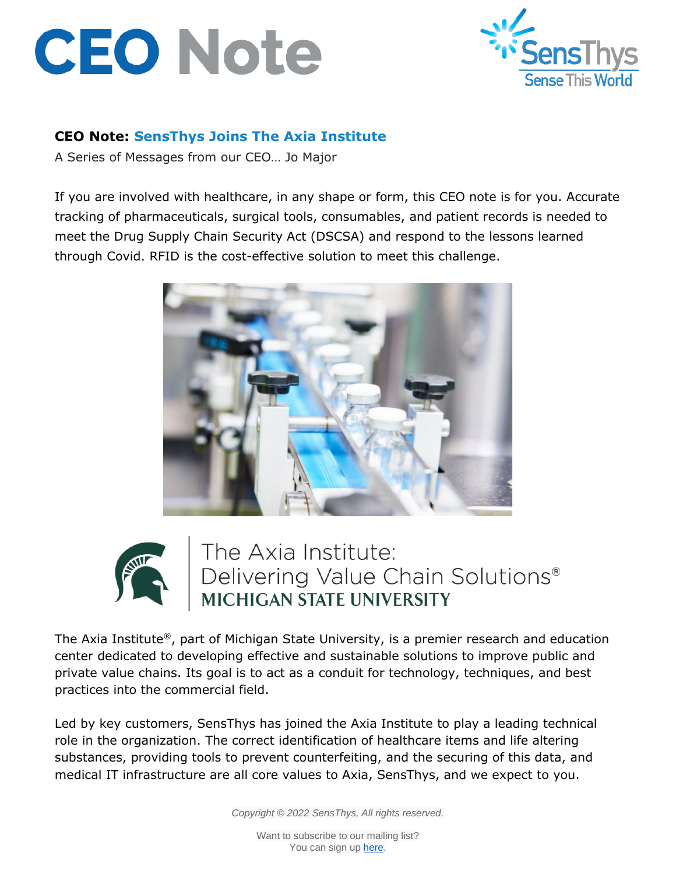## **CEO Note**



## **CEO Note: SensThys Joins The Axia Institute**

A Series of Messages from our CEO… Jo Major

If you are involved with healthcare, in any shape or form, this CEO note is for you. Accurate tracking of pharmaceuticals, surgical tools, consumables, and patient records is needed to meet the Drug Supply Chain Security Act (DSCSA) and respond to the lessons learned through Covid. RFID is the cost-effective solution to meet this challenge.





The Axia Institute:<br>Delivering Value Chain Solutions®<br>MICHIGAN STATE UNIVERSITY

The Axia Institute®, part of Michigan State University, is a premier research and education center dedicated to developing effective and sustainable solutions to improve public and private value chains. Its goal is to act as a conduit for technology, techniques, and best practices into the commercial field.

Led by key customers, SensThys has joined the Axia Institute to play a leading technical role in the organization. The correct identification of healthcare items and life altering substances, providing tools to prevent counterfeiting, and the securing of this data, and medical IT infrastructure are all core values to Axia, SensThys, and we expect to you.

*Copyright © 2022 SensThys, All rights reserved.*